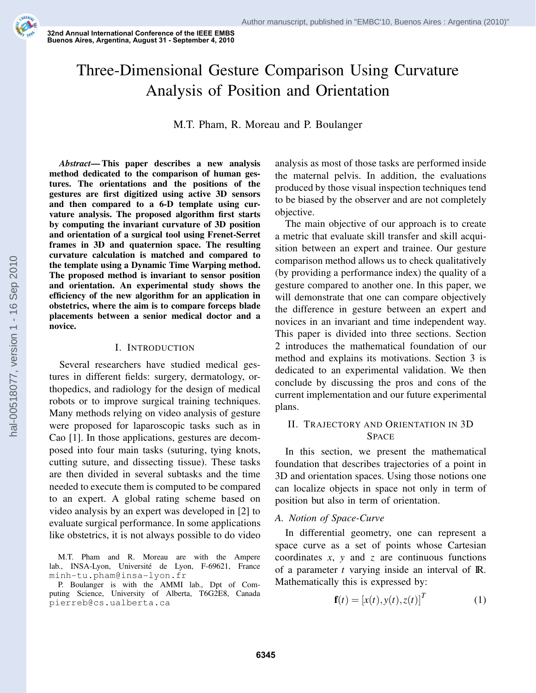**32nd%Annual%International%Conference%of%the%IEEE%EMBS** Buenos Aires, Argentina, August 31 - September 4, 2010

# Three-Dimensional Gesture Comparison Using Curvature Analysis of Position and Orientation

M.T. Pham, R. Moreau and P. Boulanger

*Abstract***— This paper describes a new analysis method dedicated to the comparison of human gestures. The orientations and the positions of the gestures are first digitized using active 3D sensors** and then compared to a 6-D template using cur**vature analysis. The proposed algorithm first starts by computing the invariant curvature of 3D position and orientation of a surgical tool using Frenet-Serret frames in 3D and quaternion space. The resulting curvature calculation is matched and compared to the template using a Dynamic Time Warping method. The proposed method is invariant to sensor position and orientation. An experimental study shows the efficiency of the new algorithm for an application in obstetrics, where the aim is to compare forceps blade placements between a senior medical doctor and a novice.**

#### I. INTRODUCTION

Several researchers have studied medical gestures in different fields: surgery, dermatology, orthopedics, and radiology for the design of medical robots or to improve surgical training techniques. Many methods relying on video analysis of gesture were proposed for laparoscopic tasks such as in Cao [1]. In those applications, gestures are decomposed into four main tasks (suturing, tying knots, cutting suture, and dissecting tissue). These tasks are then divided in several subtasks and the time needed to execute them is computed to be compared to an expert. A global rating scheme based on video analysis by an expert was developed in [2] to evaluate surgical performance. In some applications like obstetrics, it is not always possible to do video

M.T. Pham and R. Moreau are with the Ampere lab., INSA-Lyon, Université de Lyon, F-69621, France minh-tu.pham@insa-lyon.fr

P. Boulanger is with the AMMI lab., Dpt of Computing Science, University of Alberta, T6G2E8, Canada pierreb@cs.ualberta.ca

analysis as most of those tasks are performed inside the maternal pelvis. In addition, the evaluations produced by those visual inspection techniques tend to be biased by the observer and are not completely objective.

The main objective of our approach is to create a metric that evaluate skill transfer and skill acquisition between an expert and trainee. Our gesture comparison method allows us to check qualitatively (by providing a performance index) the quality of a gesture compared to another one. In this paper, we will demonstrate that one can compare objectively the difference in gesture between an expert and novices in an invariant and time independent way. This paper is divided into three sections. Section 2 introduces the mathematical foundation of our method and explains its motivations. Section 3 is dedicated to an experimental validation. We then conclude by discussing the pros and cons of the current implementation and our future experimental plans.

# II. TRAJECTORY AND ORIENTATION IN 3D **SPACE**

In this section, we present the mathematical foundation that describes trajectories of a point in 3D and orientation spaces. Using those notions one can localize objects in space not only in term of position but also in term of orientation.

# *A. Notion of Space-Curve*

In differential geometry, one can represent a space curve as a set of points whose Cartesian coordinates  $x$ ,  $y$  and  $z$  are continuous functions of a parameter  $t$  varying inside an interval of  $\mathbb{R}$ . Mathematically this is expressed by:

$$
\mathbf{f}(t) = [x(t), y(t), z(t)]^T
$$
 (1)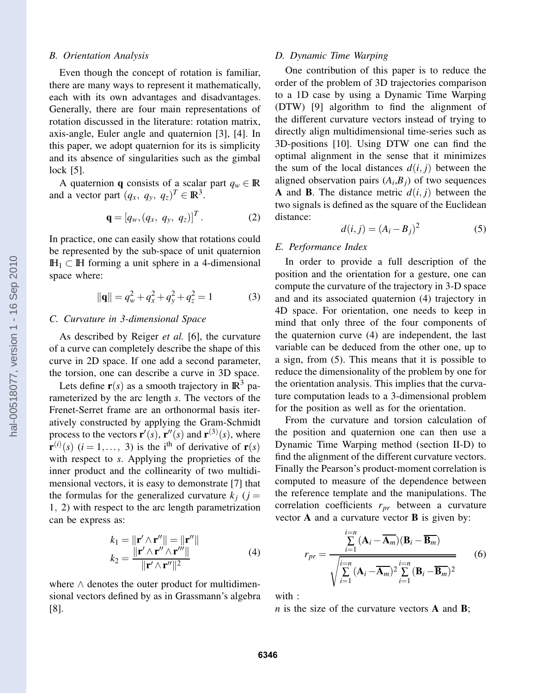#### *B. Orientation Analysis*

Even though the concept of rotation is familiar, there are many ways to represent it mathematically, each with its own advantages and disadvantages. Generally, there are four main representations of rotation discussed in the literature: rotation matrix, axis-angle, Euler angle and quaternion [3], [4]. In this paper, we adopt quaternion for its is simplicity and its absence of singularities such as the gimbal lock [5].

A quaternion **q** consists of a scalar part  $q_w \in \mathbb{R}$ and a vector part  $(q_x, q_y, q_z)^T \in \mathbb{R}^3$ .

$$
\mathbf{q} = [q_w, (q_x, q_y, q_z)]^T. \tag{2}
$$

In practice, one can easily show that rotations could be represented by the sub-space of unit quaternion  $\mathbb{H}<sub>1</sub>$  ⊂  $\mathbb{H}$  forming a unit sphere in a 4-dimensional space where:

$$
\|\mathbf{q}\| = q_w^2 + q_x^2 + q_y^2 + q_z^2 = 1\tag{3}
$$

### *C. Curvature in 3-dimensional Space*

As described by Reiger *et al.* [6], the curvature of a curve can completely describe the shape of this curve in 2D space. If one add a second parameter, the torsion, one can describe a curve in 3D space.

Lets define  $r(s)$  as a smooth trajectory in  $\mathbb{R}^3$  parameterized by the arc length *s*. The vectors of the Frenet-Serret frame are an orthonormal basis iteratively constructed by applying the Gram-Schmidt process to the vectors  $\mathbf{r}'(s)$ ,  $\mathbf{r}''(s)$  and  $\mathbf{r}^{(3)}(s)$ , where  $\mathbf{r}^{(i)}(s)$  (*i* = 1,..., 3) is the i<sup>th</sup> of derivative of  $\mathbf{r}(s)$ with respect to *s*. Applying the proprieties of the inner product and the collinearity of two multidimensional vectors, it is easy to demonstrate [7] that the formulas for the generalized curvature  $k_j$  ( $j =$ 1, 2) with respect to the arc length parametrization can be express as:

$$
k_1 = \|\mathbf{r}' \wedge \mathbf{r}''\| = \|\mathbf{r}''\|
$$
  
\n
$$
k_2 = \frac{\|\mathbf{r}' \wedge \mathbf{r}'' \wedge \mathbf{r}''''\|}{\|\mathbf{r}' \wedge \mathbf{r}''\|^2}
$$
 (4)

where ∧ denotes the outer product for multidimensional vectors defined by as in Grassmann's algebra [8].

#### *D. Dynamic Time Warping*

One contribution of this paper is to reduce the order of the problem of 3D trajectories comparison to a 1D case by using a Dynamic Time Warping (DTW) [9] algorithm to find the alignment of the different curvature vectors instead of trying to directly align multidimensional time-series such as 3D-positions [10]. Using DTW one can find the optimal alignment in the sense that it minimizes the sum of the local distances  $d(i, j)$  between the aligned observation pairs  $(A_i, B_j)$  of two sequences **A** and **B**. The distance metric  $d(i, j)$  between the two signals is defined as the square of the Euclidean distance:

$$
d(i,j) = (A_i - B_j)^2
$$
 (5)

### *E. Performance Index*

In order to provide a full description of the position and the orientation for a gesture, one can compute the curvature of the trajectory in 3-D space and and its associated quaternion (4) trajectory in 4D space. For orientation, one needs to keep in mind that only three of the four components of the quaternion curve (4) are independent, the last variable can be deduced from the other one, up to a sign, from (5). This means that it is possible to reduce the dimensionality of the problem by one for the orientation analysis. This implies that the curvature computation leads to a 3-dimensional problem for the position as well as for the orientation.

From the curvature and torsion calculation of the position and quaternion one can then use a Dynamic Time Warping method (section II-D) to find the alignment of the different curvature vectors. Finally the Pearson's product-moment correlation is computed to measure of the dependence between the reference template and the manipulations. The correlation coefficients *rpr* between a curvature vector **A** and a curvature vector **B** is given by:

$$
r_{pr} = \frac{\sum_{i=1}^{i=n} (\mathbf{A}_i - \overline{\mathbf{A}_m})(\mathbf{B}_i - \overline{\mathbf{B}_m})}{\sqrt{\sum_{i=1}^{i=n} (\mathbf{A}_i - \overline{\mathbf{A}_m})^2 \sum_{i=1}^{i=n} (\mathbf{B}_i - \overline{\mathbf{B}_m})^2}}
$$
(6)

with :

*n* is the size of the curvature vectors **A** and **B**;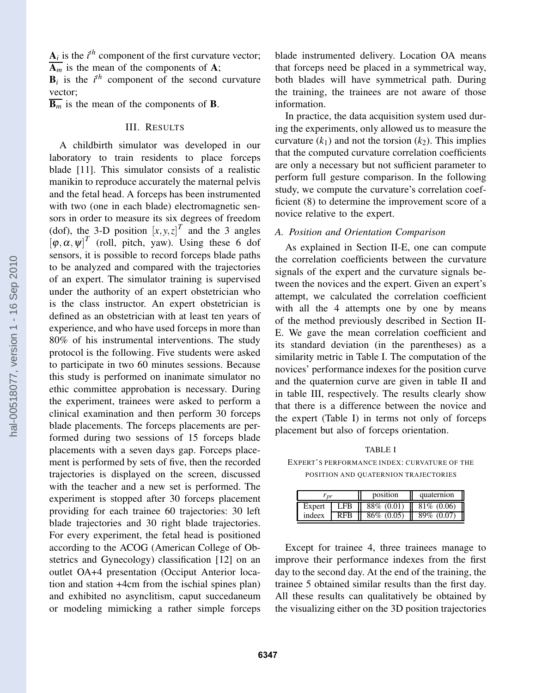$A_i$  is the  $i^{th}$  component of the first curvature vector;  $\overline{\mathbf{A}_m}$  is the mean of the components of **A**;

 **is the**  $i<sup>th</sup>$  **component of the second curvature** vector;

 $\overline{\mathbf{B}_{m}}$  is the mean of the components of **B**.

# III. RESULTS

A childbirth simulator was developed in our laboratory to train residents to place forceps blade [11]. This simulator consists of a realistic manikin to reproduce accurately the maternal pelvis and the fetal head. A forceps has been instrumented with two (one in each blade) electromagnetic sensors in order to measure its six degrees of freedom (dof), the 3-D position  $[x, y, z]^T$  and the 3 angles  $[\varphi, \alpha, \psi]^T$  (roll, pitch, yaw). Using these 6 dof sensors, it is possible to record forceps blade paths to be analyzed and compared with the trajectories of an expert. The simulator training is supervised under the authority of an expert obstetrician who is the class instructor. An expert obstetrician is defined as an obstetrician with at least ten years of experience, and who have used forceps in more than 80% of his instrumental interventions. The study protocol is the following. Five students were asked to participate in two 60 minutes sessions. Because this study is performed on inanimate simulator no ethic committee approbation is necessary. During the experiment, trainees were asked to perform a clinical examination and then perform 30 forceps blade placements. The forceps placements are performed during two sessions of 15 forceps blade placements with a seven days gap. Forceps placement is performed by sets of five, then the recorded trajectories is displayed on the screen, discussed with the teacher and a new set is performed. The experiment is stopped after 30 forceps placement providing for each trainee 60 trajectories: 30 left blade trajectories and 30 right blade trajectories. For every experiment, the fetal head is positioned according to the ACOG (American College of Obstetrics and Gynecology) classification [12] on an outlet OA+4 presentation (Occiput Anterior location and station +4cm from the ischial spines plan) and exhibited no asynclitism, caput succedaneum or modeling mimicking a rather simple forceps

blade instrumented delivery. Location OA means that forceps need be placed in a symmetrical way, both blades will have symmetrical path. During the training, the trainees are not aware of those information.

In practice, the data acquisition system used during the experiments, only allowed us to measure the curvature  $(k_1)$  and not the torsion  $(k_2)$ . This implies that the computed curvature correlation coefficients are only a necessary but not sufficient parameter to perform full gesture comparison. In the following study, we compute the curvature's correlation coefficient (8) to determine the improvement score of a novice relative to the expert.

# *A. Position and Orientation Comparison*

As explained in Section II-E, one can compute the correlation coefficients between the curvature signals of the expert and the curvature signals between the novices and the expert. Given an expert's attempt, we calculated the correlation coefficient with all the 4 attempts one by one by means of the method previously described in Section II-E. We gave the mean correlation coefficient and its standard deviation (in the parentheses) as a similarity metric in Table I. The computation of the novices' performance indexes for the position curve and the quaternion curve are given in table II and in table III, respectively. The results clearly show that there is a difference between the novice and the expert (Table I) in terms not only of forceps placement but also of forceps orientation.

TABLE I

EXPERT'S PERFORMANCE INDEX: CURVATURE OF THE POSITION AND QUATERNION TRAJECTORIES

| $\boldsymbol{m}$ |            | position                    | quaternion    |
|------------------|------------|-----------------------------|---------------|
| Expert           | LFB II     | $88\%$ (0.01)   81\% (0.06) |               |
| indeex           | <b>RFB</b> | $86\%$ (0.05)               | $89\%$ (0.07) |

Except for trainee 4, three trainees manage to improve their performance indexes from the first day to the second day. At the end of the training, the trainee 5 obtained similar results than the first day. All these results can qualitatively be obtained by the visualizing either on the 3D position trajectories